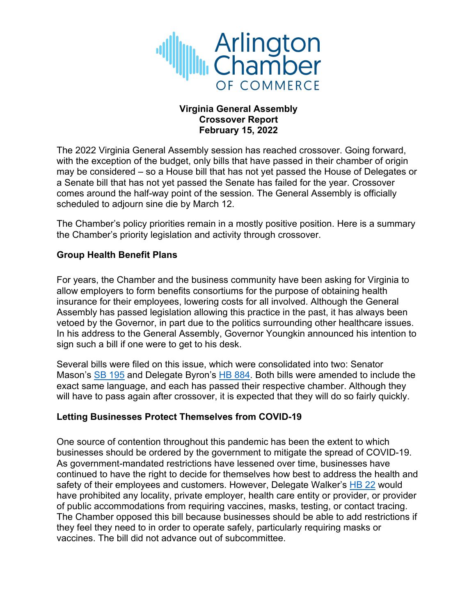

### **Virginia General Assembly Crossover Report February 15, 2022**

The 2022 Virginia General Assembly session has reached crossover. Going forward, with the exception of the budget, only bills that have passed in their chamber of origin may be considered – so a House bill that has not yet passed the House of Delegates or a Senate bill that has not yet passed the Senate has failed for the year. Crossover comes around the half-way point of the session. The General Assembly is officially scheduled to adjourn sine die by March 12.

The Chamber's policy priorities remain in a mostly positive position. Here is a summary the Chamber's priority legislation and activity through crossover.

### **Group Health Benefit Plans**

For years, the Chamber and the business community have been asking for Virginia to allow employers to form benefits consortiums for the purpose of obtaining health insurance for their employees, lowering costs for all involved. Although the General Assembly has passed legislation allowing this practice in the past, it has always been vetoed by the Governor, in part due to the politics surrounding other healthcare issues. In his address to the General Assembly, Governor Youngkin announced his intention to sign such a bill if one were to get to his desk.

Several bills were filed on this issue, which were consolidated into two: Senator Mason's SB 195 and Delegate Byron's HB 884. Both bills were amended to include the exact same language, and each has passed their respective chamber. Although they will have to pass again after crossover, it is expected that they will do so fairly quickly.

#### **Letting Businesses Protect Themselves from COVID-19**

One source of contention throughout this pandemic has been the extent to which businesses should be ordered by the government to mitigate the spread of COVID-19. As government-mandated restrictions have lessened over time, businesses have continued to have the right to decide for themselves how best to address the health and safety of their employees and customers. However, Delegate Walker's HB 22 would have prohibited any locality, private employer, health care entity or provider, or provider of public accommodations from requiring vaccines, masks, testing, or contact tracing. The Chamber opposed this bill because businesses should be able to add restrictions if they feel they need to in order to operate safely, particularly requiring masks or vaccines. The bill did not advance out of subcommittee.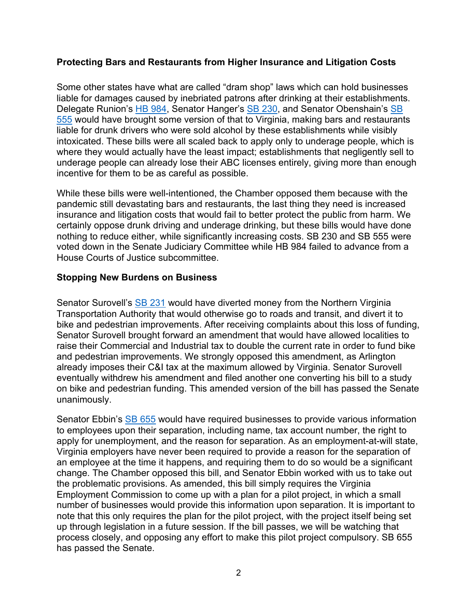### **Protecting Bars and Restaurants from Higher Insurance and Litigation Costs**

Some other states have what are called "dram shop" laws which can hold businesses liable for damages caused by inebriated patrons after drinking at their establishments. Delegate Runion's HB 984, Senator Hanger's SB 230, and Senator Obenshain's SB 555 would have brought some version of that to Virginia, making bars and restaurants liable for drunk drivers who were sold alcohol by these establishments while visibly intoxicated. These bills were all scaled back to apply only to underage people, which is where they would actually have the least impact; establishments that negligently sell to underage people can already lose their ABC licenses entirely, giving more than enough incentive for them to be as careful as possible.

While these bills were well-intentioned, the Chamber opposed them because with the pandemic still devastating bars and restaurants, the last thing they need is increased insurance and litigation costs that would fail to better protect the public from harm. We certainly oppose drunk driving and underage drinking, but these bills would have done nothing to reduce either, while significantly increasing costs. SB 230 and SB 555 were voted down in the Senate Judiciary Committee while HB 984 failed to advance from a House Courts of Justice subcommittee.

#### **Stopping New Burdens on Business**

Senator Surovell's SB 231 would have diverted money from the Northern Virginia Transportation Authority that would otherwise go to roads and transit, and divert it to bike and pedestrian improvements. After receiving complaints about this loss of funding, Senator Surovell brought forward an amendment that would have allowed localities to raise their Commercial and Industrial tax to double the current rate in order to fund bike and pedestrian improvements. We strongly opposed this amendment, as Arlington already imposes their C&I tax at the maximum allowed by Virginia. Senator Surovell eventually withdrew his amendment and filed another one converting his bill to a study on bike and pedestrian funding. This amended version of the bill has passed the Senate unanimously.

Senator Ebbin's SB 655 would have required businesses to provide various information to employees upon their separation, including name, tax account number, the right to apply for unemployment, and the reason for separation. As an employment-at-will state, Virginia employers have never been required to provide a reason for the separation of an employee at the time it happens, and requiring them to do so would be a significant change. The Chamber opposed this bill, and Senator Ebbin worked with us to take out the problematic provisions. As amended, this bill simply requires the Virginia Employment Commission to come up with a plan for a pilot project, in which a small number of businesses would provide this information upon separation. It is important to note that this only requires the plan for the pilot project, with the project itself being set up through legislation in a future session. If the bill passes, we will be watching that process closely, and opposing any effort to make this pilot project compulsory. SB 655 has passed the Senate.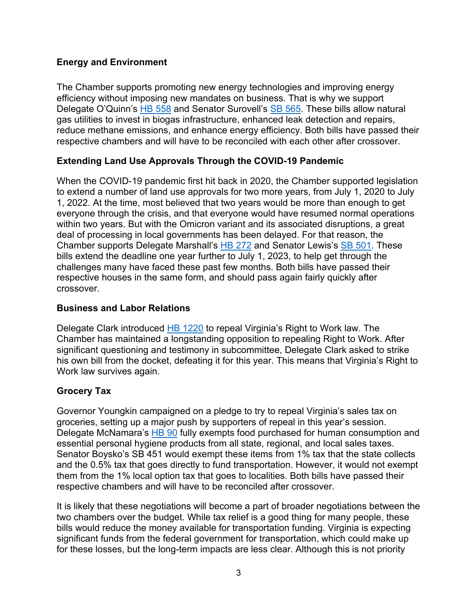# **Energy and Environment**

The Chamber supports promoting new energy technologies and improving energy efficiency without imposing new mandates on business. That is why we support Delegate O'Quinn's HB 558 and Senator Surovell's SB 565. These bills allow natural gas utilities to invest in biogas infrastructure, enhanced leak detection and repairs, reduce methane emissions, and enhance energy efficiency. Both bills have passed their respective chambers and will have to be reconciled with each other after crossover.

# **Extending Land Use Approvals Through the COVID-19 Pandemic**

When the COVID-19 pandemic first hit back in 2020, the Chamber supported legislation to extend a number of land use approvals for two more years, from July 1, 2020 to July 1, 2022. At the time, most believed that two years would be more than enough to get everyone through the crisis, and that everyone would have resumed normal operations within two years. But with the Omicron variant and its associated disruptions, a great deal of processing in local governments has been delayed. For that reason, the Chamber supports Delegate Marshall's HB 272 and Senator Lewis's SB 501. These bills extend the deadline one year further to July 1, 2023, to help get through the challenges many have faced these past few months. Both bills have passed their respective houses in the same form, and should pass again fairly quickly after crossover.

#### **Business and Labor Relations**

Delegate Clark introduced HB 1220 to repeal Virginia's Right to Work law. The Chamber has maintained a longstanding opposition to repealing Right to Work. After significant questioning and testimony in subcommittee, Delegate Clark asked to strike his own bill from the docket, defeating it for this year. This means that Virginia's Right to Work law survives again.

# **Grocery Tax**

Governor Youngkin campaigned on a pledge to try to repeal Virginia's sales tax on groceries, setting up a major push by supporters of repeal in this year's session. Delegate McNamara's HB 90 fully exempts food purchased for human consumption and essential personal hygiene products from all state, regional, and local sales taxes. Senator Boysko's SB 451 would exempt these items from 1% tax that the state collects and the 0.5% tax that goes directly to fund transportation. However, it would not exempt them from the 1% local option tax that goes to localities. Both bills have passed their respective chambers and will have to be reconciled after crossover.

It is likely that these negotiations will become a part of broader negotiations between the two chambers over the budget. While tax relief is a good thing for many people, these bills would reduce the money available for transportation funding. Virginia is expecting significant funds from the federal government for transportation, which could make up for these losses, but the long-term impacts are less clear. Although this is not priority